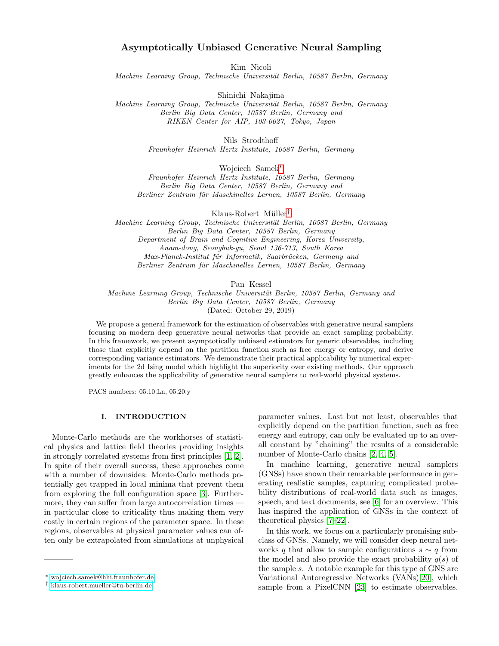# Asymptotically Unbiased Generative Neural Sampling

Kim Nicoli

Machine Learning Group, Technische Universität Berlin, 10587 Berlin, Germany

Shinichi Nakajima

Machine Learning Group, Technische Universität Berlin, 10587 Berlin, Germany Berlin Big Data Center, 10587 Berlin, Germany and RIKEN Center for AIP, 103-0027, Tokyo, Japan

> Nils Strodthoff Fraunhofer Heinrich Hertz Institute, 10587 Berlin, Germany

> > Wojciech Samek[∗](#page-0-0)

Fraunhofer Heinrich Hertz Institute, 10587 Berlin, Germany Berlin Big Data Center, 10587 Berlin, Germany and Berliner Zentrum für Maschinelles Lernen, 10587 Berlin, Germany

Klaus-Robert Müller<sup>[†](#page-0-1)</sup>

Machine Learning Group, Technische Universität Berlin, 10587 Berlin, Germany Berlin Big Data Center, 10587 Berlin, Germany Department of Brain and Cognitive Engineering, Korea University, Anam-dong, Seongbuk-gu, Seoul 136-713, South Korea Max-Planck-Institut für Informatik, Saarbrücken, Germany and Berliner Zentrum für Maschinelles Lernen, 10587 Berlin, Germany

Pan Kessel

Machine Learning Group, Technische Universität Berlin, 10587 Berlin, Germany and Berlin Big Data Center, 10587 Berlin, Germany (Dated: October 29, 2019)

We propose a general framework for the estimation of observables with generative neural samplers focusing on modern deep generative neural networks that provide an exact sampling probability. In this framework, we present asymptotically unbiased estimators for generic observables, including those that explicitly depend on the partition function such as free energy or entropy, and derive corresponding variance estimators. We demonstrate their practical applicability by numerical experiments for the 2d Ising model which highlight the superiority over existing methods. Our approach greatly enhances the applicability of generative neural samplers to real-world physical systems.

PACS numbers: 05.10.Ln, 05.20.y

# I. INTRODUCTION

Monte-Carlo methods are the workhorses of statistical physics and lattice field theories providing insights in strongly correlated systems from first principles [\[1,](#page-9-0) [2\]](#page-9-1). In spite of their overall success, these approaches come with a number of downsides: Monte-Carlo methods potentially get trapped in local minima that prevent them from exploring the full configuration space [\[3\]](#page-9-2). Furthermore, they can suffer from large autocorrelation times in particular close to criticality thus making them very costly in certain regions of the parameter space. In these regions, observables at physical parameter values can often only be extrapolated from simulations at unphysical

parameter values. Last but not least, observables that explicitly depend on the partition function, such as free energy and entropy, can only be evaluated up to an overall constant by "chaining" the results of a considerable number of Monte-Carlo chains [\[2,](#page-9-1) [4,](#page-9-3) [5\]](#page-9-4).

In machine learning, generative neural samplers (GNSs) have shown their remarkable performance in generating realistic samples, capturing complicated probability distributions of real-world data such as images, speech, and text documents, see [\[6\]](#page-9-5) for an overview. This has inspired the application of GNSs in the context of theoretical physics [\[7](#page-9-6)[–22\]](#page-10-0).

In this work, we focus on a particularly promising subclass of GNSs. Namely, we will consider deep neural networks q that allow to sample configurations  $s \sim q$  from the model and also provide the exact probability  $q(s)$  of the sample s. A notable example for this type of GNS are Variational Autoregressive Networks (VANs)[\[20\]](#page-10-1), which sample from a PixelCNN [\[23\]](#page-10-2) to estimate observables.

<span id="page-0-0"></span><sup>∗</sup> [wojciech.samek@hhi.fraunhofer.de](mailto:wojciech.samek@hhi.fraunhofer.de)

<span id="page-0-1"></span><sup>†</sup> [klaus-robert.mueller@tu-berlin.de](mailto:klaus-robert.mueller@tu-berlin.de)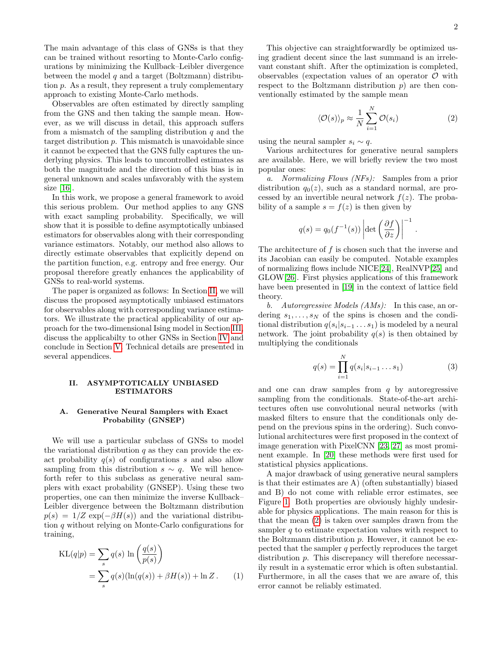The main advantage of this class of GNSs is that they can be trained without resorting to Monte-Carlo configurations by minimizing the Kullback–Leibler divergence between the model  $q$  and a target (Boltzmann) distribution p. As a result, they represent a truly complementary approach to existing Monte-Carlo methods.

Observables are often estimated by directly sampling from the GNS and then taking the sample mean. However, as we will discuss in detail, this approach suffers from a mismatch of the sampling distribution  $q$  and the target distribution p. This mismatch is unavoidable since it cannot be expected that the GNS fully captures the underlying physics. This leads to uncontrolled estimates as both the magnitude and the direction of this bias is in general unknown and scales unfavorably with the system size [\[16\]](#page-9-7).

In this work, we propose a general framework to avoid this serious problem. Our method applies to any GNS with exact sampling probability. Specifically, we will show that it is possible to define asymptotically unbiased estimators for observables along with their corresponding variance estimators. Notably, our method also allows to directly estimate observables that explicitly depend on the partition function, e.g. entropy and free energy. Our proposal therefore greatly enhances the applicability of GNSs to real-world systems.

The paper is organized as follows: In Section [II,](#page-1-0) we will discuss the proposed asymptotically unbiased estimators for observables along with corresponding variance estimators. We illustrate the practical applicability of our approach for the two-dimensional Ising model in Section [III,](#page-4-0) discuss the applicabilty to other GNSs in Section [IV](#page-5-0) and conclude in Section [V.](#page-6-0) Technical details are presented in several appendices.

### <span id="page-1-0"></span>II. ASYMPTOTICALLY UNBIASED ESTIMATORS

# A. Generative Neural Samplers with Exact Probability (GNSEP)

We will use a particular subclass of GNSs to model the variational distribution  $q$  as they can provide the exact probability  $q(s)$  of configurations s and also allow sampling from this distribution  $s \sim q$ . We will henceforth refer to this subclass as generative neural samplers with exact probability (GNSEP). Using these two properties, one can then minimize the inverse Kullback– Leibler divergence between the Boltzmann distribution  $p(s) = 1/Z \exp(-\beta H(s))$  and the variational distribution q without relying on Monte-Carlo configurations for training,

$$
KL(q|p) = \sum_{s} q(s) \ln \left(\frac{q(s)}{p(s)}\right)
$$
  
= 
$$
\sum_{s} q(s) (\ln(q(s)) + \beta H(s)) + \ln Z.
$$
 (1)

This objective can straightforwardly be optimized using gradient decent since the last summand is an irrelevant constant shift. After the optimization is completed, observables (expectation values of an operator  $O$  with respect to the Boltzmann distribution  $p$ ) are then conventionally estimated by the sample mean

$$
\langle \mathcal{O}(s) \rangle_p \approx \frac{1}{N} \sum_{i=1}^N \mathcal{O}(s_i)
$$
 (2)

<span id="page-1-1"></span>.

using the neural sampler  $s_i \sim q$ .

Various architectures for generative neural samplers are available. Here, we will briefly review the two most popular ones:

a. Normalizing Flows (NFs): Samples from a prior distribution  $q_0(z)$ , such as a standard normal, are processed by an invertible neural network  $f(z)$ . The probability of a sample  $s = f(z)$  is then given by

$$
q(s) = q_0(f^{-1}(s)) \left| \det \left( \frac{\partial f}{\partial z} \right) \right|^{-1}
$$

The architecture of f is chosen such that the inverse and its Jacobian can easily be computed. Notable examples of normalizing flows include NICE[\[24\]](#page-10-3), RealNVP[\[25\]](#page-10-4) and GLOW[\[26\]](#page-10-5). First physics applications of this framework have been presented in [\[19\]](#page-9-8) in the context of lattice field theory.

b. Autoregressive Models (AMs): In this case, an ordering  $s_1, \ldots, s_N$  of the spins is chosen and the conditional distribution  $q(s_i|s_{i-1}\dots s_1)$  is modeled by a neural network. The joint probability  $q(s)$  is then obtained by multiplying the conditionals

$$
q(s) = \prod_{i=1}^{N} q(s_i | s_{i-1} \dots s_1)
$$
 (3)

and one can draw samples from  $q$  by autoregressive sampling from the conditionals. State-of-the-art architectures often use convolutional neural networks (with masked filters to ensure that the conditionals only depend on the previous spins in the ordering). Such convolutional architectures were first proposed in the context of image generation with PixelCNN [\[23,](#page-10-2) [27\]](#page-10-6) as most prominent example. In [\[20\]](#page-10-1) these methods were first used for statistical physics applications.

<span id="page-1-2"></span>A major drawback of using generative neural samplers is that their estimates are A) (often substantially) biased and B) do not come with reliable error estimates, see Figure [1.](#page-2-0) Both properties are obviously highly undesirable for physics applications. The main reason for this is that the mean [\(2\)](#page-1-1) is taken over samples drawn from the sampler  $q$  to estimate expectation values with respect to the Boltzmann distribution p. However, it cannot be expected that the sampler q perfectly reproduces the target distribution p. This discrepancy will therefore necessarily result in a systematic error which is often substantial. Furthermore, in all the cases that we are aware of, this error cannot be reliably estimated.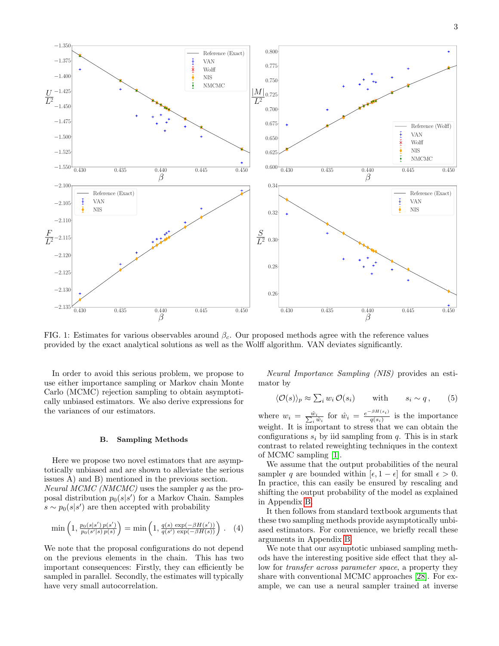

<span id="page-2-0"></span>

FIG. 1: Estimates for various observables around  $\beta_c$ . Our proposed methods agree with the reference values provided by the exact analytical solutions as well as the Wolff algorithm. VAN deviates significantly.

In order to avoid this serious problem, we propose to use either importance sampling or Markov chain Monte Carlo (MCMC) rejection sampling to obtain asymptotically unbiased estimators. We also derive expressions for the variances of our estimators.

# <span id="page-2-1"></span>B. Sampling Methods

Here we propose two novel estimators that are asymptotically unbiased and are shown to alleviate the serious issues A) and B) mentioned in the previous section. *Neural MCMC (NMCMC)* uses the sampler  $q$  as the proposal distribution  $p_0(s|s')$  for a Markov Chain. Samples  $s \sim p_0(s|s')$  are then accepted with probability

$$
\min\left(1, \frac{p_0(s|s')p(s')}{p_0(s'|s)p(s)}\right) = \min\left(1, \frac{q(s)\exp(-\beta H(s'))}{q(s')\exp(-\beta H(s))}\right). (4)
$$

We note that the proposal configurations do not depend on the previous elements in the chain. This has two important consequences: Firstly, they can efficiently be sampled in parallel. Secondly, the estimates will typically have very small autocorrelation.

Neural Importance Sampling (NIS) provides an estimator by

$$
\langle \mathcal{O}(s) \rangle_p \approx \sum_i w_i \, \mathcal{O}(s_i) \qquad \text{with} \qquad s_i \sim q \,, \qquad (5)
$$

where  $w_i = \frac{\hat{w}_i}{\sum_i \hat{w}_i}$  for  $\hat{w}_i = \frac{e^{-\beta H(s_i)}}{q(s_i)}$  $\frac{\rho_{H}(s_i)}{q(s_i)}$  is the importance weight. It is important to stress that we can obtain the configurations  $s_i$  by iid sampling from q. This is in stark contrast to related reweighting techniques in the context of MCMC sampling [\[1\]](#page-9-0).

We assume that the output probabilities of the neural sampler q are bounded within  $[\epsilon, 1 - \epsilon]$  for small  $\epsilon > 0$ . In practice, this can easily be ensured by rescaling and shifting the output probability of the model as explained in Appendix [B.](#page-7-0)

It then follows from standard textbook arguments that these two sampling methods provide asymptotically unbiased estimators. For convenience, we briefly recall these arguments in Appendix [B.](#page-7-0)

We note that our asymptotic unbiased sampling methods have the interesting positive side effect that they allow for transfer across parameter space, a property they share with conventional MCMC approaches [\[28\]](#page-10-7). For example, we can use a neural sampler trained at inverse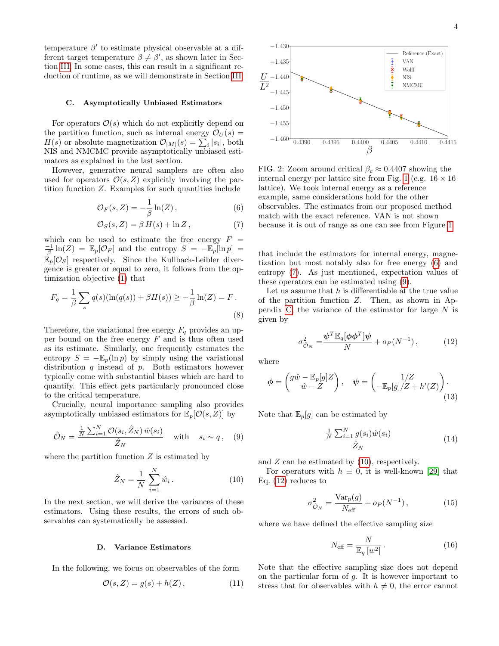temperature  $\beta'$  to estimate physical observable at a different target temperature  $\beta \neq \beta'$ , as shown later in Section [III.](#page-4-0) In some cases, this can result in a significant reduction of runtime, as we will demonstrate in Section [III.](#page-4-0)

#### C. Asymptotically Unbiased Estimators

For operators  $\mathcal{O}(s)$  which do not explicitly depend on the partition function, such as internal energy  $\mathcal{O}_U(s)$  =  $H(s)$  or absolute magnetization  $\mathcal{O}_{|M|}(s) = \sum_i |s_i|$ , both NIS and NMCMC provide asymptotically unbiased estimators as explained in the last section.

However, generative neural samplers are often also used for operators  $\mathcal{O}(s, Z)$  explicitly involving the partition function Z. Examples for such quantities include

$$
\mathcal{O}_F(s, Z) = -\frac{1}{\beta} \ln(Z), \qquad (6)
$$

$$
\mathcal{O}_S(s, Z) = \beta H(s) + \ln Z, \qquad (7)
$$

which can be used to estimate the free energy  $F =$  $\frac{-1}{\beta}\ln(Z) = \mathbb{E}_p[\mathcal{O}_F]$  and the entropy  $S = -\mathbb{E}_p[\ln p] =$  $\mathbb{E}_p[\mathcal{O}_S]$  respectively. Since the Kullback-Leibler divergence is greater or equal to zero, it follows from the optimization objective [\(1\)](#page-1-2) that

$$
F_q = \frac{1}{\beta} \sum_s q(s) (\ln(q(s)) + \beta H(s)) \ge -\frac{1}{\beta} \ln(Z) = F.
$$
\n(8)

Therefore, the variational free energy  $F_q$  provides an upper bound on the free energy  $F$  and is thus often used as its estimate. Similarly, one frequently estimates the entropy  $S = -\mathbb{E}_p(\ln p)$  by simply using the variational distribution  $q$  instead of  $p$ . Both estimators however typically come with substantial biases which are hard to quantify. This effect gets particularly pronounced close to the critical temperature.

Crucially, neural importance sampling also provides asymptotically unbiased estimators for  $\mathbb{E}_p[\mathcal{O}(s,Z)]$  by

$$
\hat{\mathcal{O}}_N = \frac{\frac{1}{N} \sum_{i=1}^N \mathcal{O}(s_i, \hat{Z}_N) \hat{w}(s_i)}{\hat{Z}_N} \quad \text{with} \quad s_i \sim q \,, \quad (9)
$$

where the partition function  $Z$  is estimated by

$$
\hat{Z}_N = \frac{1}{N} \sum_{i=1}^N \hat{w}_i.
$$
 (10)

In the next section, we will derive the variances of these estimators. Using these results, the errors of such observables can systematically be assessed.

## <span id="page-3-5"></span>D. Variance Estimators

In the following, we focus on observables of the form

$$
\mathcal{O}(s, Z) = g(s) + h(Z), \qquad (11)
$$



Equivalent (i)  $\sum_{i=1}^{\infty} \frac{1}{2} \log \frac{1}{2}$ , (b) both  $\sum_{i=1}^{\infty} \frac{1}{2} \log \frac{1}{2}$ , (ii)  $\sum_{i=1}^{\infty} \frac{1}{2} \log \frac{1}{2}$ , (ii)  $\sum_{i=1}^{\infty} \frac{1}{2} \log \frac{1}{2}$ , (ii)  $\sum_{i=1}^{\infty} \frac{1}{2} \log \frac{1}{2}$ , (ii)  $\sum_{i=1}^{\infty} \frac{1$ FIG. 2: Zoom around critical  $\beta_c \approx 0.4407$  showing the internal energy per lattice site from Fig. [1](#page-2-0) (e.g.  $16 \times 16$ lattice). We took internal energy as a reference example, same considerations hold for the other observables. The estimates from our proposed method match with the exact reference. VAN is not shown because it is out of range as one can see from Figure [1.](#page-2-0)

<span id="page-3-1"></span><span id="page-3-0"></span>that include the estimators for internal energy, magnetization but most notably also for free energy [\(6\)](#page-3-0) and entropy [\(7\)](#page-3-1). As just mentioned, expectation values of these operators can be estimated using [\(9\)](#page-3-2).

Let us assume that  $h$  is differentiable at the true value of the partition function  $Z$ . Then, as shown in Ap-pendix [C,](#page-8-0) the variance of the estimator for large  $N$  is given by

<span id="page-3-4"></span>
$$
\sigma_{\hat{\mathcal{O}}_N}^2 = \frac{\boldsymbol{\psi}^T \mathbb{E}_q[\boldsymbol{\phi} \boldsymbol{\phi}^T] \boldsymbol{\psi}}{N} + o_P(N^{-1}),\tag{12}
$$

where

$$
\phi = \begin{pmatrix} g\hat{w} - \mathbb{E}_p[g]Z \\ \hat{w} - Z \end{pmatrix}, \quad \psi = \begin{pmatrix} 1/Z \\ -\mathbb{E}_p[g]/Z + h'(Z) \end{pmatrix}.
$$
\n(13)

<span id="page-3-2"></span>Note that  $\mathbb{E}_p[g]$  can be estimated by

$$
\frac{\frac{1}{N}\sum_{i=1}^{N}g(s_i)\hat{w}(s_i)}{\hat{Z}_N} \tag{14}
$$

and  $Z$  can be estimated by  $(10)$ , respectively.

<span id="page-3-3"></span>For operators with  $h \equiv 0$ , it is well-known [\[29\]](#page-10-8) that Eq. [\(12\)](#page-3-4) reduces to

$$
\sigma_{\hat{\mathcal{O}}_N}^2 = \frac{\text{Var}_p(g)}{N_{\text{eff}}} + o_P(N^{-1}), \qquad (15)
$$

where we have defined the effective sampling size

$$
N_{\text{eff}} = \frac{N}{\mathbb{E}_q \left[ w^2 \right]} \,. \tag{16}
$$

<span id="page-3-6"></span>Note that the effective sampling size does not depend on the particular form of  $q$ . It is however important to stress that for observables with  $h \neq 0$ , the error cannot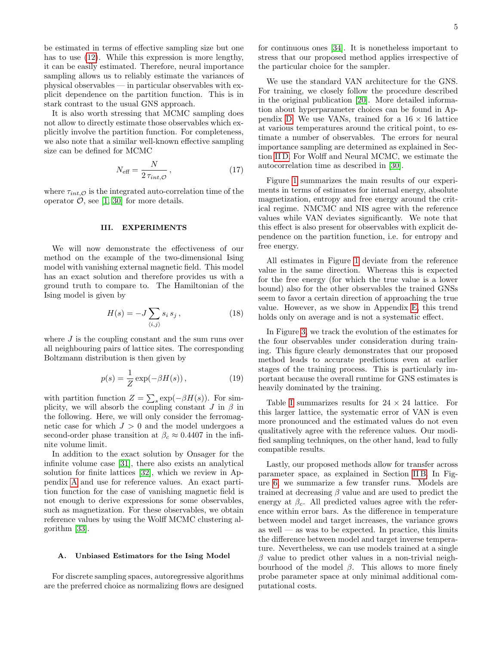be estimated in terms of effective sampling size but one has to use [\(12\)](#page-3-4). While this expression is more lengthy, it can be easily estimated. Therefore, neural importance sampling allows us to reliably estimate the variances of physical observables — in particular observables with explicit dependence on the partition function. This is in stark contrast to the usual GNS approach.

It is also worth stressing that MCMC sampling does not allow to directly estimate those observables which explicitly involve the partition function. For completeness, we also note that a similar well-known effective sampling size can be defined for MCMC

$$
N_{\text{eff}} = \frac{N}{2\,\tau_{int,\mathcal{O}}},\tag{17}
$$

where  $\tau_{int,\mathcal{O}}$  is the integrated auto-correlation time of the operator  $\mathcal{O}$ , see [\[1,](#page-9-0) [30\]](#page-10-9) for more details.

### <span id="page-4-0"></span>III. EXPERIMENTS

We will now demonstrate the effectiveness of our method on the example of the two-dimensional Ising model with vanishing external magnetic field. This model has an exact solution and therefore provides us with a ground truth to compare to. The Hamiltonian of the Ising model is given by

$$
H(s) = -J \sum_{\langle i,j \rangle} s_i s_j , \qquad (18)
$$

where  $J$  is the coupling constant and the sum runs over all neighbouring pairs of lattice sites. The corresponding Boltzmann distribution is then given by

$$
p(s) = \frac{1}{Z} \exp(-\beta H(s)), \qquad (19)
$$

with partition function  $Z = \sum_s \exp(-\beta H(s))$ . For simplicity, we will absorb the coupling constant  $J$  in  $\beta$  in the following. Here, we will only consider the ferromagnetic case for which  $J > 0$  and the model undergoes a second-order phase transition at  $\beta_c \approx 0.4407$  in the infinite volume limit.

In addition to the exact solution by Onsager for the infinite volume case [\[31\]](#page-10-10), there also exists an analytical solution for finite lattices [\[32\]](#page-10-11), which we review in Appendix [A](#page-7-1) and use for reference values. An exact partition function for the case of vanishing magnetic field is not enough to derive expressions for some observables, such as magnetization. For these observables, we obtain reference values by using the Wolff MCMC clustering algorithm [\[33\]](#page-10-12).

### A. Unbiased Estimators for the Ising Model

For discrete sampling spaces, autoregressive algorithms are the preferred choice as normalizing flows are designed

for continuous ones [\[34\]](#page-10-13). It is nonetheless important to stress that our proposed method applies irrespective of the particular choice for the sampler.

We use the standard VAN architecture for the GNS. For training, we closely follow the procedure described in the original publication [\[20\]](#page-10-1). More detailed information about hyperparameter choices can be found in Ap-pendix [D.](#page-8-1) We use VANs, trained for a  $16 \times 16$  lattice at various temperatures around the critical point, to estimate a number of observables. The errors for neural importance sampling are determined as explained in Section [II D.](#page-3-5) For Wolff and Neural MCMC, we estimate the autocorrelation time as described in [\[30\]](#page-10-9).

<span id="page-4-1"></span>Figure [1](#page-2-0) summarizes the main results of our experiments in terms of estimates for internal energy, absolute magnetization, entropy and free energy around the critical regime. NMCMC and NIS agree with the reference values while VAN deviates significantly. We note that this effect is also present for observables with explicit dependence on the partition function, i.e. for entropy and free energy.

All estimates in Figure [1](#page-2-0) deviate from the reference value in the same direction. Whereas this is expected for the free energy (for which the true value is a lower bound) also for the other observables the trained GNSs seem to favor a certain direction of approaching the true value. However, as we show in Appendix [E,](#page-9-9) this trend holds only on average and is not a systematic effect.

In Figure [3,](#page-5-1) we track the evolution of the estimates for the four observables under consideration during training. This figure clearly demonstrates that our proposed method leads to accurate predictions even at earlier stages of the training process. This is particularly important because the overall runtime for GNS estimates is heavily dominated by the training.

Table [I](#page-5-2) summarizes results for  $24 \times 24$  lattice. For this larger lattice, the systematic error of VAN is even more pronounced and the estimated values do not even qualitatively agree with the reference values. Our modified sampling techniques, on the other hand, lead to fully compatible results.

Lastly, our proposed methods allow for transfer across parameter space, as explained in Section [II B.](#page-2-1) In Figure [6,](#page-6-1) we summarize a few transfer runs. Models are trained at decreasing  $\beta$  value and are used to predict the energy at  $\beta_c$ . All predicted values agree with the reference within error bars. As the difference in temperature between model and target increases, the variance grows as well — as was to be expected. In practice, this limits the difference between model and target inverse temperature. Nevertheless, we can use models trained at a single β value to predict other values in a non-trivial neighbourhood of the model  $\beta$ . This allows to more finely probe parameter space at only minimal additional computational costs.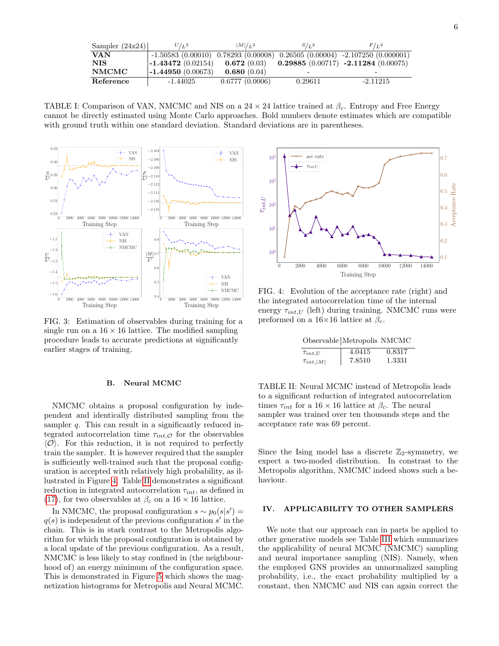<span id="page-5-2"></span>

| Sampler $(24x24)$ | U/I <sub>L</sub>    | $ M /L^2$      | S/I <sub>L</sub> | $F/r^2$                                                                         |
|-------------------|---------------------|----------------|------------------|---------------------------------------------------------------------------------|
| <b>VAN</b>        |                     |                |                  | $-1.50583$ (0.00010) 0.78293 (0.00008) 0.26505 (0.00004) $-2.107250$ (0.000001) |
| <b>NIS</b>        | $-1.43472(0.02154)$ | 0.672(0.03)    |                  | 0.29885 $(0.00717)$ -2.11284 $(0.00075)$                                        |
| NMCMC             | $-1.44950(0.00673)$ | 0.680(0.04)    |                  | $\overline{\phantom{a}}$                                                        |
| Reference         | -1.44025            | 0.6777(0.0006) | 0.29611          | $-2.11215$                                                                      |

TABLE I: Comparison of VAN, NMCMC and NIS on a 24  $\times$  24 lattice trained at  $\beta_c$ . Entropy and Free Energy cannot be directly estimated using Monte Carlo approaches. Bold numbers denote estimates which are compatible with ground truth within one standard deviation. Standard deviations are in parentheses.

<span id="page-5-1"></span>

FIG. 3: Estimation of observables during training for a single run on a  $16 \times 16$  lattice. The modified sampling procedure leads to accurate predictions at significantly earlier stages of training.

#### B. Neural MCMC

NMCMC obtains a proposal configuration by independent and identically distributed sampling from the sampler q. This can result in a significantly reduced integrated autocorrelation time  $\tau_{int,\mathcal{O}}$  for the observables  $\langle \mathcal{O} \rangle$ . For this reduction, it is not required to perfectly train the sampler. It is however required that the sampler is sufficiently well-trained such that the proposal configuration is accepted with relatively high probability, as illustrated in Figure [4.](#page-5-3) Table [II](#page-5-4) demonstrates a significant reduction in integrated autocorrelation  $\tau_{int}$ , as defined in [\(17\)](#page-4-1), for two observables at  $\beta_c$  on a 16 × 16 lattice. The matrix of Metropolis and the matrix for Metropolis and the interpretation histograms for Metropolis and Neural MCMC interpretation histograms for Metropolis and Neural MCMC interpretation histograms for Metropolis and

In NMCMC, the proposal configuration  $s \sim p_0(s|s') =$  $q(s)$  is independent of the previous configuration s' in the chain. This is in stark contrast to the Metropolis algorithm for which the proposal configuration is obtained by a local update of the previous configuration. As a result, NMCMC is less likely to stay confined in (the neighbourhood of) an energy minimum of the configuration space. This is demonstrated in Figure [5](#page-6-2) which shows the mag-

<span id="page-5-3"></span>

<span id="page-5-4"></span>FIG. 4: Evolution of the acceptance rate (right) and the integrated autocorrelation time of the internal energy  $\tau_{int,U}$  (left) during training. NMCMC runs were preformed on a  $16\times16$  lattice at  $\beta_c$ .

|                  | Observable Metropolis NMCMC |        |
|------------------|-----------------------------|--------|
| $\tau_{int.U}$   | 4.0415                      | 0.8317 |
| $\tau_{int, M }$ | 7.8510                      | 1.3331 |

TABLE II: Neural MCMC instead of Metropolis leads to a significant reduction of integrated autocorrelation times  $\tau_{int}$  for a 16 × 16 lattice at  $\beta_c$ . The neural sampler was trained over ten thousands steps and the acceptance rate was 69 percent.

Since the Ising model has a discrete  $\mathbb{Z}_2$ -symmetry, we expect a two-moded distribution. In constrast to the Metropolis algorithm, NMCMC indeed shows such a behaviour.

### <span id="page-5-0"></span>IV. APPLICABILITY TO OTHER SAMPLERS

We note that our approach can in parts be applied to other generative models see Table [III](#page-7-2) which summarizes the applicability of neural MCMC (NMCMC) sampling and neural importance sampling (NIS). Namely, when the employed GNS provides an unnormalized sampling probability, i.e., the exact probability multiplied by a constant, then NMCMC and NIS can again correct the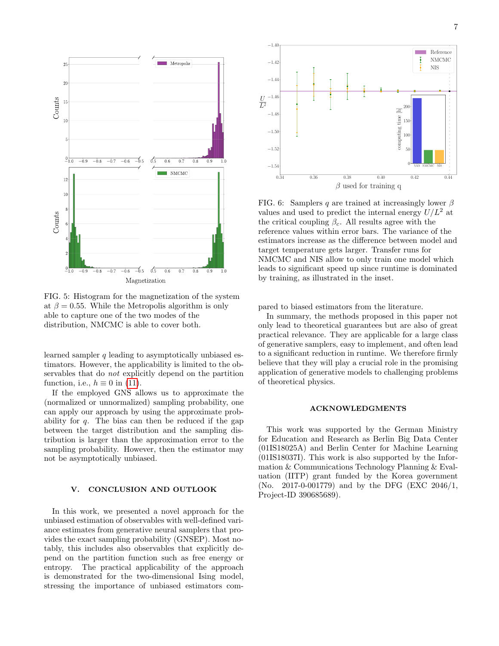<span id="page-6-2"></span>

FIG. 5: Histogram for the magnetization of the system at  $\beta = 0.55$ . While the Metropolis algorithm is only able to capture one of the two modes of the distribution, NMCMC is able to cover both.

learned sampler  $q$  leading to asymptotically unbiased estimators. However, the applicability is limited to the observables that do not explicitly depend on the partition function, i.e.,  $h \equiv 0$  in [\(11\)](#page-3-6).

If the employed GNS allows us to approximate the (normalized or unnormalized) sampling probability, one can apply our approach by using the approximate probability for  $q$ . The bias can then be reduced if the gap between the target distribution and the sampling distribution is larger than the approximation error to the sampling probability. However, then the estimator may not be asymptotically unbiased.

# <span id="page-6-0"></span>V. CONCLUSION AND OUTLOOK

In this work, we presented a novel approach for the unbiased estimation of observables with well-defined variance estimates from generative neural samplers that provides the exact sampling probability (GNSEP). Most notably, this includes also observables that explicitly depend on the partition function such as free energy or entropy. The practical applicability of the approach is demonstrated for the two-dimensional Ising model,

<span id="page-6-1"></span>

FIG. 6: Samplers q are trained at increasingly lower  $\beta$ values and used to predict the internal energy  $U/L^2$  at the critical coupling  $\beta_c$ . All results agree with the reference values within error bars. The variance of the estimators increase as the difference between model and target temperature gets larger. Transfer runs for NMCMC and NIS allow to only train one model which leads to significant speed up since runtime is dominated by training, as illustrated in the inset.

pared to biased estimators from the literature.

In summary, the methods proposed in this paper not only lead to theoretical guarantees but are also of great practical relevance. They are applicable for a large class of generative samplers, easy to implement, and often lead to a significant reduction in runtime. We therefore firmly believe that they will play a crucial role in the promising application of generative models to challenging problems of theoretical physics.

### ACKNOWLEDGMENTS

This work was supported by the German Ministry for Education and Research as Berlin Big Data Center (01IS18025A) and Berlin Center for Machine Learning (01IS18037I). This work is also supported by the Information & Communications Technology Planning & Evaluation (IITP) grant funded by the Korea government (No. 2017-0-001779) and by the DFG (EXC 2046/1, Project-ID 390685689).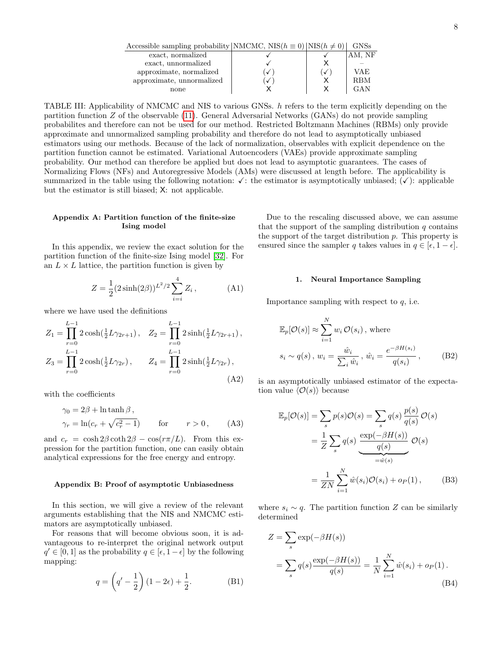| Accessible sampling probability NMCMC, NIS( $h \equiv 0$ ) NIS( $h \neq 0$ ) |              | <b>GNSs</b> |
|------------------------------------------------------------------------------|--------------|-------------|
| exact, normalized                                                            |              | M. NF       |
| exact, unnormalized                                                          |              |             |
| approximate, normalized                                                      | $\checkmark$ | VAE         |
| approximate, unnormalized                                                    |              | RBM         |
| none                                                                         |              |             |

<span id="page-7-2"></span>TABLE III: Applicability of NMCMC and NIS to various GNSs. h refers to the term explicitly depending on the partition function Z of the observable [\(11\)](#page-3-6). General Adversarial Networks (GANs) do not provide sampling probabilites and therefore can not be used for our method. Restricted Boltzmann Machines (RBMs) only provide approximate and unnormalized sampling probability and therefore do not lead to asymptotically unbiased estimators using our methods. Because of the lack of normalization, observables with explicit dependence on the partition function cannot be estimated. Variational Autoencoders (VAEs) provide approximate sampling probability. Our method can therefore be applied but does not lead to asymptotic guarantees. The cases of Normalizing Flows (NFs) and Autoregressive Models (AMs) were discussed at length before. The applicability is summarized in the table using the following notation:  $\checkmark$ : the estimator is asymptotically unbiased;  $(\checkmark)$ : applicable but the estimator is still biased; X: not applicable.

#### <span id="page-7-1"></span>Appendix A: Partition function of the finite-size Ising model

In this appendix, we review the exact solution for the partition function of the finite-size Ising model [\[32\]](#page-10-11). For an  $L \times L$  lattice, the partition function is given by

$$
Z = \frac{1}{2} (2 \sinh(2\beta))^{L^2/2} \sum_{i=i}^{4} Z_i , \qquad (A1)
$$

where we have used the definitions

$$
Z_1 = \prod_{r=0}^{L-1} 2 \cosh(\frac{1}{2}L\gamma_{2r+1}), \quad Z_2 = \prod_{r=0}^{L-1} 2 \sinh(\frac{1}{2}L\gamma_{2r+1}),
$$
  
\n
$$
Z_3 = \prod_{r=0}^{L-1} 2 \cosh(\frac{1}{2}L\gamma_{2r}), \quad Z_4 = \prod_{r=0}^{L-1} 2 \sinh(\frac{1}{2}L\gamma_{2r}),
$$
  
\n(A2)

with the coefficients

$$
\gamma_0 = 2\beta + \ln \tanh \beta ,
$$
  
\n
$$
\gamma_r = \ln(c_r + \sqrt{c_r^2 - 1}) \quad \text{for} \quad r > 0, \quad (A3)
$$

and  $c_r = \cosh 2\beta \coth 2\beta - \cos(r\pi/L)$ . From this expression for the partition function, one can easily obtain analytical expressions for the free energy and entropy.

#### <span id="page-7-0"></span>Appendix B: Proof of asymptotic Unbiasedness

In this section, we will give a review of the relevant arguments establishing that the NIS and NMCMC estimators are asymptotically unbiased.

For reasons that will become obvious soon, it is advantageous to re-interpret the original network output  $q' \in [0, 1]$  as the probability  $q \in [\epsilon, 1 - \epsilon]$  by the following mapping:

$$
q = \left(q' - \frac{1}{2}\right)(1 - 2\epsilon) + \frac{1}{2}.
$$
 (B1)

Due to the rescaling discussed above, we can assume that the support of the sampling distribution  $q$  contains the support of the target distribution p. This property is ensured since the sampler q takes values in  $q \in [\epsilon, 1 - \epsilon]$ .

#### 1. Neural Importance Sampling

Importance sampling with respect to  $q$ , i.e.

$$
\mathbb{E}_p[\mathcal{O}(s)] \approx \sum_{i=1}^N w_i \mathcal{O}(s_i), \text{ where}
$$

$$
s_i \sim q(s), \, w_i = \frac{\hat{w}_i}{\sum_i \hat{w}_i}, \, \hat{w}_i = \frac{e^{-\beta H(s_i)}}{q(s_i)}, \qquad (B2)
$$

is an asymptotically unbiased estimator of the expectation value  $\langle \mathcal{O}(s) \rangle$  because

$$
\mathbb{E}_p[\mathcal{O}(s)] = \sum_s p(s)\mathcal{O}(s) = \sum_s q(s)\frac{p(s)}{q(s)}\mathcal{O}(s)
$$

$$
= \frac{1}{Z}\sum_s q(s)\underbrace{\frac{\exp(-\beta H(s))}{q(s)}}_{=\hat{w}(s)}\mathcal{O}(s)
$$

$$
= \frac{1}{ZN}\sum_{i=1}^N \hat{w}(s_i)\mathcal{O}(s_i) + o_P(1), \qquad (B3)
$$

where  $s_i \sim q$ . The partition function Z can be similarly determined

$$
Z = \sum_{s} \exp(-\beta H(s))
$$
  
= 
$$
\sum_{s} q(s) \frac{\exp(-\beta H(s))}{q(s)} = \frac{1}{N} \sum_{i=1}^{N} \hat{w}(s_i) + o_P(1).
$$
 (B4)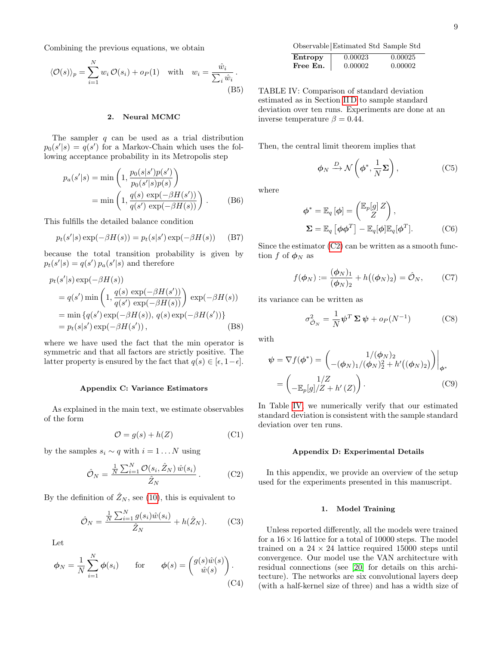Combining the previous equations, we obtain

$$
\langle \mathcal{O}(s) \rangle_p = \sum_{i=1}^N w_i \, \mathcal{O}(s_i) + o_P(1) \quad \text{with} \quad w_i = \frac{\hat{w}_i}{\sum_i \hat{w}_i} \, .
$$
\n(B5)

# 2. Neural MCMC

The sampler  $q$  can be used as a trial distribution  $p_0(s'|s) = q(s')$  for a Markov-Chain which uses the following acceptance probability in its Metropolis step

$$
p_a(s'|s) = \min\left(1, \frac{p_0(s|s')p(s')}{p_0(s'|s)p(s)}\right)
$$
  
= 
$$
\min\left(1, \frac{q(s)\exp(-\beta H(s'))}{q(s')\exp(-\beta H(s))}\right).
$$
 (B6)

This fulfills the detailed balance condition

$$
p_t(s'|s) \exp(-\beta H(s)) = p_t(s|s') \exp(-\beta H(s)) \quad \text{(B7)}
$$

because the total transition probability is given by  $p_t(s'|s) = q(s') p_a(s'|s)$  and therefore

$$
p_t(s'|s) \exp(-\beta H(s))
$$
  
=  $q(s')$  min  $\left(1, \frac{q(s) \exp(-\beta H(s'))}{q(s') \exp(-\beta H(s))}\right) \exp(-\beta H(s))$   
= min  $\{q(s') \exp(-\beta H(s)), q(s) \exp(-\beta H(s'))\}$   
=  $p_t(s|s') \exp(-\beta H(s'))$ , (B8)

where we have used the fact that the min operator is symmetric and that all factors are strictly positive. The latter property is ensured by the fact that  $q(s) \in [\epsilon, 1-\epsilon]$ .

#### <span id="page-8-0"></span>Appendix C: Variance Estimators

As explained in the main text, we estimate observables of the form

$$
\mathcal{O} = g(s) + h(Z) \tag{C1}
$$

by the samples  $s_i \sim q$  with  $i = 1 \dots N$  using

$$
\hat{\mathcal{O}}_N = \frac{\frac{1}{N} \sum_{i=1}^N \mathcal{O}(s_i, \hat{Z}_N) \hat{w}(s_i)}{\hat{Z}_N}.
$$
 (C2)

By the definition of  $\hat{Z}_N$ , see [\(10\)](#page-3-3), this is equivalent to

$$
\hat{\mathcal{O}}_N = \frac{\frac{1}{N} \sum_{i=1}^N g(s_i) \hat{w}(s_i)}{\hat{Z}_N} + h(\hat{Z}_N). \tag{C3}
$$

Let

$$
\phi_N = \frac{1}{N} \sum_{i=1}^N \phi(s_i) \qquad \text{for} \qquad \phi(s) = \begin{pmatrix} g(s)\hat{w}(s) \\ \hat{w}(s) \end{pmatrix} . \tag{C4}
$$

<span id="page-8-3"></span>Observable Estimated Std Sample Std

| Entropy  | 0.00023 | 0.00025 |
|----------|---------|---------|
| Free En. | 0.00002 | 0.00002 |

TABLE IV: Comparison of standard deviation estimated as in Section [II D](#page-3-5) to sample standard deviation over ten runs. Experiments are done at an inverse temperature  $\beta = 0.44$ .

Then, the central limit theorem implies that

$$
\phi_N \xrightarrow{D} \mathcal{N}\left(\phi^*, \frac{1}{N}\Sigma\right),\tag{C5}
$$

where

$$
\phi^* = \mathbb{E}_q [\phi] = \begin{pmatrix} \mathbb{E}_p[g] Z \\ Z \end{pmatrix},
$$
  

$$
\Sigma = \mathbb{E}_q [\phi \phi^T] - \mathbb{E}_q[\phi] \mathbb{E}_q[\phi^T].
$$
 (C6)

Since the estimator [\(C2\)](#page-8-2) can be written as a smooth function f of  $\phi_N$  as

$$
f(\phi_N) := \frac{(\phi_N)_1}{(\phi_N)_2} + h((\phi_N)_2) = \hat{\mathcal{O}}_N, \qquad \text{(C7)}
$$

its variance can be written as

$$
\sigma_{\hat{\mathcal{O}}_N}^2 = \frac{1}{N} \boldsymbol{\psi}^T \boldsymbol{\Sigma} \boldsymbol{\psi} + o_P(N^{-1}) \tag{C8}
$$

with

$$
\psi = \nabla f(\phi^*) = \begin{pmatrix} 1/(\phi_N)_2 \\ -(\phi_N)_1/(\phi_N)_2^2 + h'((\phi_N)_2) \end{pmatrix} \Big|_{\phi^*}
$$

$$
= \begin{pmatrix} 1/Z \\ -\mathbb{E}_p[g]/Z + h'(Z) \end{pmatrix}.
$$
(C9)

In Table [IV,](#page-8-3) we numerically verify that our estimated standard deviation is consistent with the sample standard deviation over ten runs.

### <span id="page-8-1"></span>Appendix D: Experimental Details

<span id="page-8-2"></span>In this appendix, we provide an overview of the setup used for the experiments presented in this manuscript.

#### 1. Model Training

Unless reported differently, all the models were trained for a  $16 \times 16$  lattice for a total of 10000 steps. The model trained on a  $24 \times 24$  lattice required 15000 steps until convergence. Our model use the VAN architecture with residual connections (see [\[20\]](#page-10-1) for details on this architecture). The networks are six convolutional layers deep (with a half-kernel size of three) and has a width size of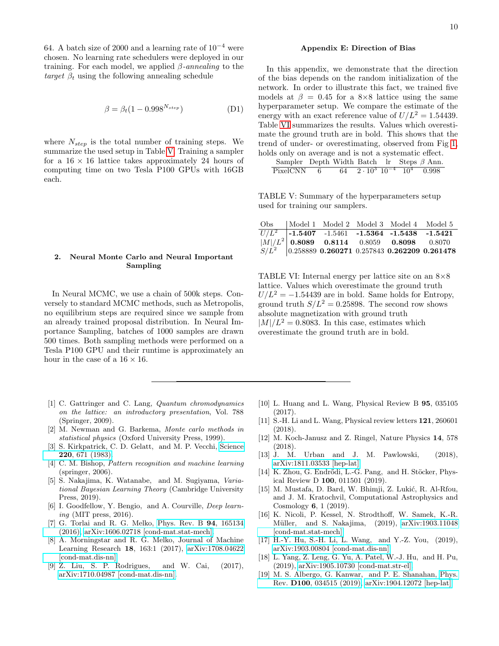64. A batch size of 2000 and a learning rate of  $10^{-4}$  were chosen. No learning rate schedulers were deployed in our training. For each model, we applied  $\beta$ -annealing to the target  $\beta_t$  using the following annealing schedule

$$
\beta = \beta_t (1 - 0.998^{N_{step}})
$$
 (D1)

where  $N_{step}$  is the total number of training steps. We summarize the used setup in Table [V.](#page-9-10) Training a sampler for a  $16 \times 16$  lattice takes approximately 24 hours of computing time on two Tesla P100 GPUs with 16GB each.

### 2. Neural Monte Carlo and Neural Important Sampling

In Neural MCMC, we use a chain of 500k steps. Conversely to standard MCMC methods, such as Metropolis, no equilibrium steps are required since we sample from an already trained proposal distribution. In Neural Importance Sampling, batches of 1000 samples are drawn 500 times. Both sampling methods were performed on a Tesla P100 GPU and their runtime is approximately an hour in the case of a  $16 \times 16$ .

- <span id="page-9-0"></span>[1] C. Gattringer and C. Lang, Quantum chromodynamics on the lattice: an introductory presentation, Vol. 788 (Springer, 2009).
- <span id="page-9-1"></span>[2] M. Newman and G. Barkema, Monte carlo methods in statistical physics (Oxford University Press, 1999).
- <span id="page-9-2"></span>[3] S. Kirkpatrick, C. D. Gelatt, and M. P. Vecchi, [Science](http://dx.doi.org/10.1126/science.220.4598.671) 220[, 671 \(1983\).](http://dx.doi.org/10.1126/science.220.4598.671)
- <span id="page-9-3"></span>[4] C. M. Bishop, Pattern recognition and machine learning (springer, 2006).
- <span id="page-9-4"></span>[5] S. Nakajima, K. Watanabe, and M. Sugiyama, Variational Bayesian Learning Theory (Cambridge University Press, 2019).
- <span id="page-9-5"></span>[6] I. Goodfellow, Y. Bengio, and A. Courville, *Deep learn* $inq$  (MIT press, 2016).
- <span id="page-9-6"></span>[7] G. Torlai and R. G. Melko, [Phys. Rev. B](http://dx.doi.org/10.1103/PhysRevB.94.165134) 94, 165134 [\(2016\),](http://dx.doi.org/10.1103/PhysRevB.94.165134) [arXiv:1606.02718 \[cond-mat.stat-mech\].](http://arxiv.org/abs/1606.02718)
- [8] A. Morningstar and R. G. Melko, Journal of Machine Learning Research 18, 163:1 (2017), [arXiv:1708.04622](http://arxiv.org/abs/1708.04622) [\[cond-mat.dis-nn\].](http://arxiv.org/abs/1708.04622)
- [9] Z. Liu, S. P. Rodrigues, and W. Cai, (2017), [arXiv:1710.04987 \[cond-mat.dis-nn\].](http://arxiv.org/abs/1710.04987)

### 10

#### <span id="page-9-9"></span>Appendix E: Direction of Bias

In this appendix, we demonstrate that the direction of the bias depends on the random initialization of the network. In order to illustrate this fact, we trained five models at  $\beta = 0.45$  for a 8×8 lattice using the same hyperparameter setup. We compare the estimate of the energy with an exact reference value of  $U/L^2 = 1.54439$ . Table [VI](#page-9-11) summarizes the results. Values which overestimate the ground truth are in bold. This shows that the trend of under- or overestimating, observed from Fig [1,](#page-2-0) holds only on average and is not a systematic effect.

<span id="page-9-10"></span>

| Sampler Depth Width Batch Ir Steps $\beta$ Ann. |  |  |                                                              |
|-------------------------------------------------|--|--|--------------------------------------------------------------|
| PixelCNN 6                                      |  |  | $64 \quad 2 \cdot 10^3 \quad 10^{-4} \quad 10^4 \quad 0.998$ |

TABLE V: Summary of the hyperparameters setup used for training our samplers.

<span id="page-9-11"></span>

|  |  | $\overline{U/L^2}$ -1.5407 -1.5461 -1.5364 -1.5438 -1.5421 |                                                        |
|--|--|------------------------------------------------------------|--------------------------------------------------------|
|  |  | $ M /L^2 $ 0.8089 0.8114 0.8059 0.8098 0.8070              |                                                        |
|  |  |                                                            | $S/L^2$   0.258889 0.260271 0.257843 0.262209 0.261478 |

TABLE VI: Internal energy per lattice site on an  $8\times8$ lattice. Values which overestimate the ground truth  $U/L^2 = -1.54439$  are in bold. Same holds for Entropy, ground truth  $S/L^2 = 0.25898$ . The second row shows absolute magnetization with ground truth  $|M|/L^2 = 0.8083$ . In this case, estimates which overestimate the ground truth are in bold.

- [10] L. Huang and L. Wang, Physical Review B 95, 035105 (2017).
- [11] S.-H. Li and L. Wang, Physical review letters 121, 260601 (2018).
- [12] M. Koch-Janusz and Z. Ringel, Nature Physics 14, 578 (2018).
- [13] J. M. Urban and J. M. Pawlowski, (2018), [arXiv:1811.03533 \[hep-lat\].](http://arxiv.org/abs/1811.03533)
- [14] K. Zhou, G. Endrődi, L.-G. Pang, and H. Stöcker, Physical Review D 100, 011501 (2019).
- [15] M. Mustafa, D. Bard, W. Bhimji, Z. Lukić, R. Al-Rfou, and J. M. Kratochvil, Computational Astrophysics and Cosmology 6, 1 (2019).
- <span id="page-9-7"></span>[16] K. Nicoli, P. Kessel, N. Strodthoff, W. Samek, K.-R. Müller, and S. Nakajima, (2019), [arXiv:1903.11048](http://arxiv.org/abs/1903.11048) [\[cond-mat.stat-mech\].](http://arxiv.org/abs/1903.11048)
- [17] H.-Y. Hu, S.-H. Li, L. Wang, and Y.-Z. You, (2019), [arXiv:1903.00804 \[cond-mat.dis-nn\].](http://arxiv.org/abs/1903.00804)
- [18] L. Yang, Z. Leng, G. Yu, A. Patel, W.-J. Hu, and H. Pu, (2019), [arXiv:1905.10730 \[cond-mat.str-el\].](http://arxiv.org/abs/1905.10730)
- <span id="page-9-8"></span>[19] M. S. Albergo, G. Kanwar, and P. E. Shanahan, [Phys.](http://dx.doi.org/10.1103/PhysRevD.100.034515) Rev. D100[, 034515 \(2019\),](http://dx.doi.org/10.1103/PhysRevD.100.034515) [arXiv:1904.12072 \[hep-lat\].](http://arxiv.org/abs/1904.12072)